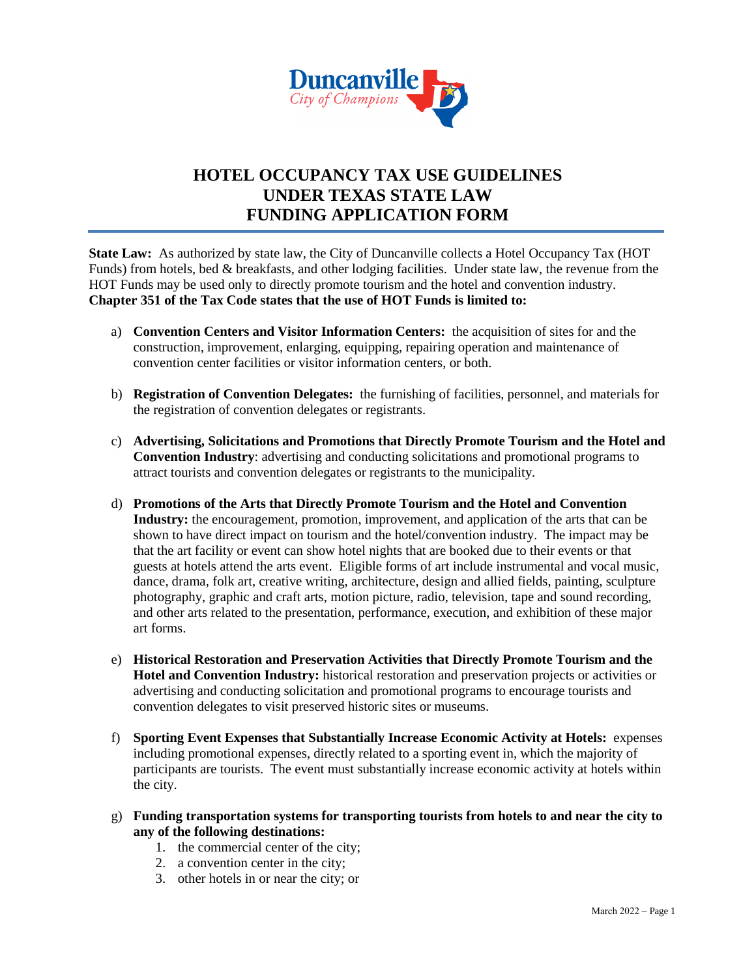

#### **HOTEL OCCUPANCY TAX USE GUIDELINES UNDER TEXAS STATE LAW FUNDING APPLICATION FORM**

**State Law:** As authorized by state law, the City of Duncanville collects a Hotel Occupancy Tax (HOT) Funds) from hotels, bed & breakfasts, and other lodging facilities. Under state law, the revenue from the HOT Funds may be used only to directly promote tourism and the hotel and convention industry. **Chapter 351 of the Tax Code states that the use of HOT Funds is limited to:**

- a) **Convention Centers and Visitor Information Centers:** the acquisition of sites for and the construction, improvement, enlarging, equipping, repairing operation and maintenance of convention center facilities or visitor information centers, or both.
- b) **Registration of Convention Delegates:** the furnishing of facilities, personnel, and materials for the registration of convention delegates or registrants.
- c) **Advertising, Solicitations and Promotions that Directly Promote Tourism and the Hotel and Convention Industry**: advertising and conducting solicitations and promotional programs to attract tourists and convention delegates or registrants to the municipality.
- d) **Promotions of the Arts that Directly Promote Tourism and the Hotel and Convention Industry:** the encouragement, promotion, improvement, and application of the arts that can be shown to have direct impact on tourism and the hotel/convention industry. The impact may be that the art facility or event can show hotel nights that are booked due to their events or that guests at hotels attend the arts event. Eligible forms of art include instrumental and vocal music, dance, drama, folk art, creative writing, architecture, design and allied fields, painting, sculpture photography, graphic and craft arts, motion picture, radio, television, tape and sound recording, and other arts related to the presentation, performance, execution, and exhibition of these major art forms.
- e) **Historical Restoration and Preservation Activities that Directly Promote Tourism and the Hotel and Convention Industry:** historical restoration and preservation projects or activities or advertising and conducting solicitation and promotional programs to encourage tourists and convention delegates to visit preserved historic sites or museums.
- f) **Sporting Event Expenses that Substantially Increase Economic Activity at Hotels:** expenses including promotional expenses, directly related to a sporting event in, which the majority of participants are tourists. The event must substantially increase economic activity at hotels within the city.
- g) **Funding transportation systems for transporting tourists from hotels to and near the city to any of the following destinations:**
	- 1. the commercial center of the city;
	- 2. a convention center in the city;
	- 3. other hotels in or near the city; or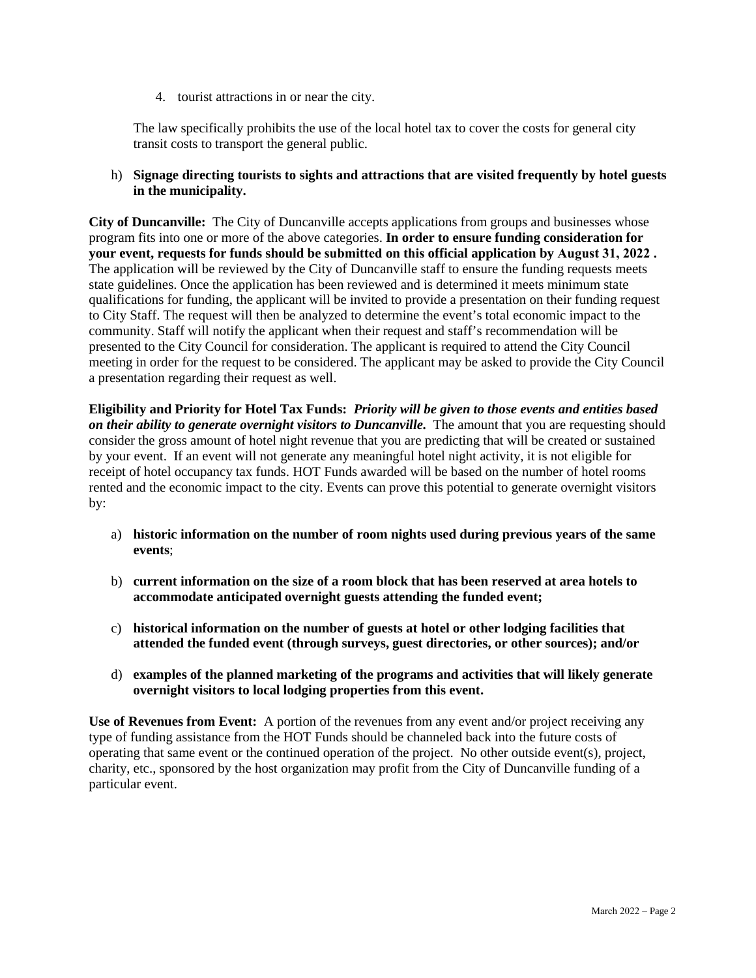4. tourist attractions in or near the city.

The law specifically prohibits the use of the local hotel tax to cover the costs for general city transit costs to transport the general public.

h) **Signage directing tourists to sights and attractions that are visited frequently by hotel guests in the municipality.**

**City of Duncanville:** The City of Duncanville accepts applications from groups and businesses whose program fits into one or more of the above categories. **In order to ensure funding consideration for your event, requests for funds should be submitted on this official application by August 31, 2022 .** The application will be reviewed by the City of Duncanville staff to ensure the funding requests meets state guidelines. Once the application has been reviewed and is determined it meets minimum state qualifications for funding, the applicant will be invited to provide a presentation on their funding request to City Staff. The request will then be analyzed to determine the event's total economic impact to the community. Staff will notify the applicant when their request and staff's recommendation will be presented to the City Council for consideration. The applicant is required to attend the City Council meeting in order for the request to be considered. The applicant may be asked to provide the City Council a presentation regarding their request as well.

**Eligibility and Priority for Hotel Tax Funds:** *Priority will be given to those events and entities based on their ability to generate overnight visitors to Duncanville.* The amount that you are requesting should consider the gross amount of hotel night revenue that you are predicting that will be created or sustained by your event. If an event will not generate any meaningful hotel night activity, it is not eligible for receipt of hotel occupancy tax funds. HOT Funds awarded will be based on the number of hotel rooms rented and the economic impact to the city. Events can prove this potential to generate overnight visitors by:

- a) **historic information on the number of room nights used during previous years of the same events**;
- b) **current information on the size of a room block that has been reserved at area hotels to accommodate anticipated overnight guests attending the funded event;**
- c) **historical information on the number of guests at hotel or other lodging facilities that attended the funded event (through surveys, guest directories, or other sources); and/or**
- d) **examples of the planned marketing of the programs and activities that will likely generate overnight visitors to local lodging properties from this event.**

**Use of Revenues from Event:** A portion of the revenues from any event and/or project receiving any type of funding assistance from the HOT Funds should be channeled back into the future costs of operating that same event or the continued operation of the project. No other outside event(s), project, charity, etc., sponsored by the host organization may profit from the City of Duncanville funding of a particular event.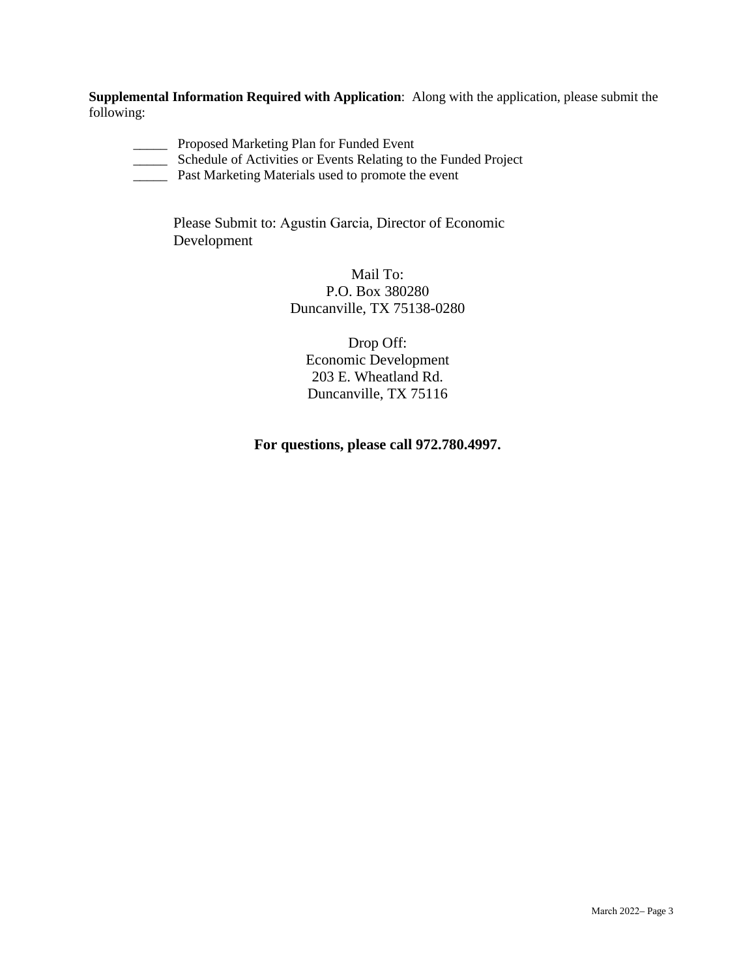**Supplemental Information Required with Application**: Along with the application, please submit the following:

- \_\_\_\_\_ Proposed Marketing Plan for Funded Event
- \_\_\_\_\_ Schedule of Activities or Events Relating to the Funded Project
- \_\_\_\_\_ Past Marketing Materials used to promote the event

Please Submit to: Agustin Garcia, Director of Economic Development

> Mail To: P.O. Box 380280 Duncanville, TX 75138-0280

Drop Off: Economic Development 203 E. Wheatland Rd. Duncanville, TX 75116

#### **For questions, please call 972.780.4997.**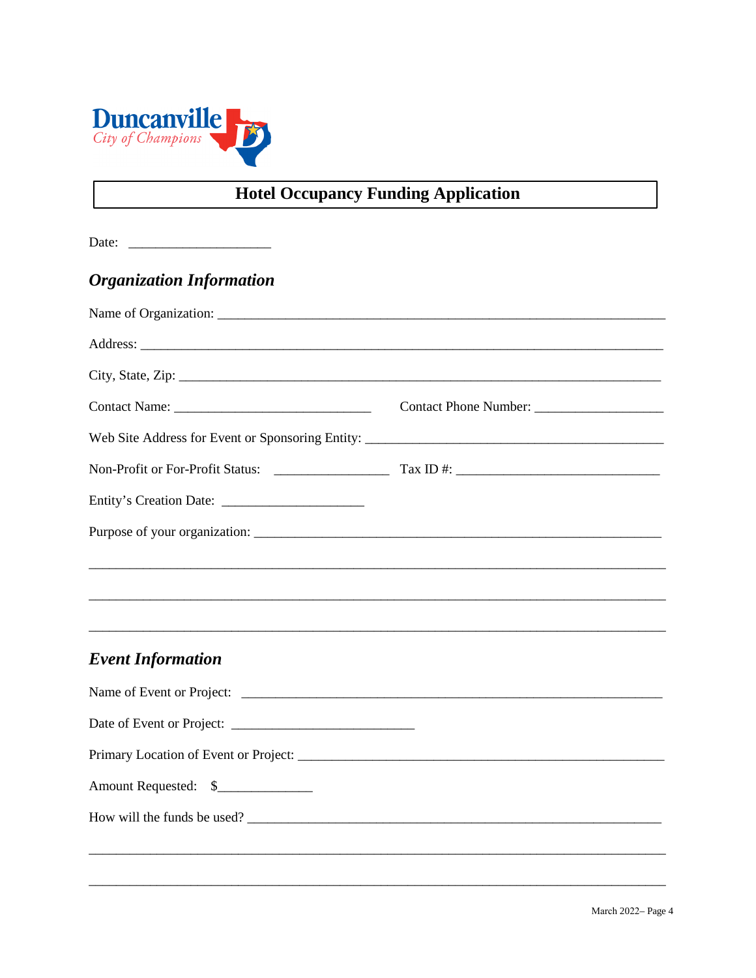

## **Hotel Occupancy Funding Application**

| Date: |  |  |  |
|-------|--|--|--|
|       |  |  |  |

### **Organization Information**

| <b>Event Information</b> |                                                                                   |  |
|--------------------------|-----------------------------------------------------------------------------------|--|
|                          |                                                                                   |  |
|                          |                                                                                   |  |
|                          |                                                                                   |  |
| Amount Requested: \$     |                                                                                   |  |
|                          |                                                                                   |  |
|                          | ,我们也不能在这里的人,我们也不能在这里的人,我们也不能在这里的人,我们也不能在这里的人,我们也不能在这里的人,我们也不能在这里的人,我们也不能在这里的人,我们也 |  |
|                          |                                                                                   |  |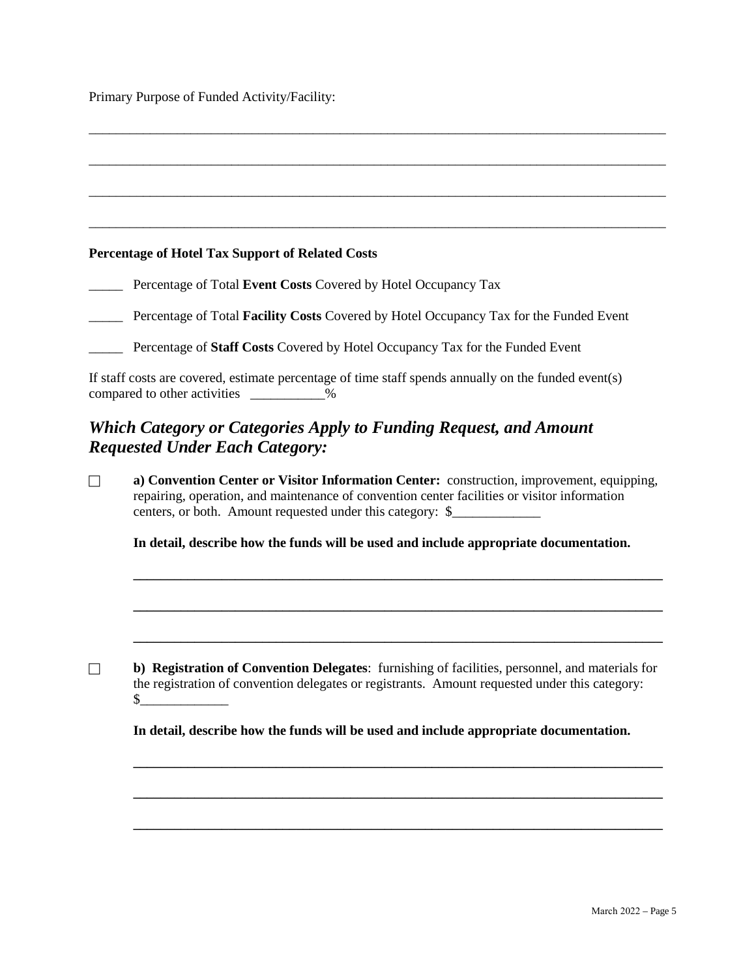Primary Purpose of Funded Activity/Facility:

# \_\_\_\_\_\_\_\_\_\_\_\_\_\_\_\_\_\_\_\_\_\_\_\_\_\_\_\_\_\_\_\_\_\_\_\_\_\_\_\_\_\_\_\_\_\_\_\_\_\_\_\_\_\_\_\_\_\_\_\_\_\_\_\_\_\_\_\_\_\_\_\_\_\_\_\_\_\_\_\_\_\_\_\_\_ \_\_\_\_\_\_\_\_\_\_\_\_\_\_\_\_\_\_\_\_\_\_\_\_\_\_\_\_\_\_\_\_\_\_\_\_\_\_\_\_\_\_\_\_\_\_\_\_\_\_\_\_\_\_\_\_\_\_\_\_\_\_\_\_\_\_\_\_\_\_\_\_\_\_\_\_\_\_\_\_\_\_\_\_\_ \_\_\_\_\_\_\_\_\_\_\_\_\_\_\_\_\_\_\_\_\_\_\_\_\_\_\_\_\_\_\_\_\_\_\_\_\_\_\_\_\_\_\_\_\_\_\_\_\_\_\_\_\_\_\_\_\_\_\_\_\_\_\_\_\_\_\_\_\_\_\_\_\_\_\_\_\_\_\_\_\_\_\_\_\_ **Percentage of Hotel Tax Support of Related Costs** \_\_\_\_\_ Percentage of Total **Event Costs** Covered by Hotel Occupancy Tax \_\_\_\_\_ Percentage of Total **Facility Costs** Covered by Hotel Occupancy Tax for the Funded Event \_\_\_\_\_ Percentage of **Staff Costs** Covered by Hotel Occupancy Tax for the Funded Event If staff costs are covered, estimate percentage of time staff spends annually on the funded event(s) compared to other activities \_\_\_\_\_\_\_\_\_\_\_% *Which Category or Categories Apply to Funding Request, and Amount Requested Under Each Category:* **a) Convention Center or Visitor Information Center:** construction, improvement, equipping, repairing, operation, and maintenance of convention center facilities or visitor information centers, or both. Amount requested under this category: \$ **In detail, describe how the funds will be used and include appropriate documentation. \_\_\_\_\_\_\_\_\_\_\_\_\_\_\_\_\_\_\_\_\_\_\_\_\_\_\_\_\_\_\_\_\_\_\_\_\_\_\_\_\_\_\_\_\_\_\_\_\_\_\_\_\_\_\_\_\_\_\_\_\_\_\_\_\_\_\_\_\_\_\_\_\_\_\_\_\_\_ \_\_\_\_\_\_\_\_\_\_\_\_\_\_\_\_\_\_\_\_\_\_\_\_\_\_\_\_\_\_\_\_\_\_\_\_\_\_\_\_\_\_\_\_\_\_\_\_\_\_\_\_\_\_\_\_\_\_\_\_\_\_\_\_\_\_\_\_\_\_\_\_\_\_\_\_\_\_**

\_\_\_\_\_\_\_\_\_\_\_\_\_\_\_\_\_\_\_\_\_\_\_\_\_\_\_\_\_\_\_\_\_\_\_\_\_\_\_\_\_\_\_\_\_\_\_\_\_\_\_\_\_\_\_\_\_\_\_\_\_\_\_\_\_\_\_\_\_\_\_\_\_\_\_\_\_\_\_\_\_\_\_\_\_

**b) Registration of Convention Delegates**: furnishing of facilities, personnel, and materials for the registration of convention delegates or registrants. Amount requested under this category:  $\frac{\S_{\perp}}{\S_{\perp}}$ 

**\_\_\_\_\_\_\_\_\_\_\_\_\_\_\_\_\_\_\_\_\_\_\_\_\_\_\_\_\_\_\_\_\_\_\_\_\_\_\_\_\_\_\_\_\_\_\_\_\_\_\_\_\_\_\_\_\_\_\_\_\_\_\_\_\_\_\_\_\_\_\_\_\_\_\_\_\_\_** 

**In detail, describe how the funds will be used and include appropriate documentation.**

**\_\_\_\_\_\_\_\_\_\_\_\_\_\_\_\_\_\_\_\_\_\_\_\_\_\_\_\_\_\_\_\_\_\_\_\_\_\_\_\_\_\_\_\_\_\_\_\_\_\_\_\_\_\_\_\_\_\_\_\_\_\_\_\_\_\_\_\_\_\_\_\_\_\_\_\_\_\_** 

**\_\_\_\_\_\_\_\_\_\_\_\_\_\_\_\_\_\_\_\_\_\_\_\_\_\_\_\_\_\_\_\_\_\_\_\_\_\_\_\_\_\_\_\_\_\_\_\_\_\_\_\_\_\_\_\_\_\_\_\_\_\_\_\_\_\_\_\_\_\_\_\_\_\_\_\_\_\_** 

**\_\_\_\_\_\_\_\_\_\_\_\_\_\_\_\_\_\_\_\_\_\_\_\_\_\_\_\_\_\_\_\_\_\_\_\_\_\_\_\_\_\_\_\_\_\_\_\_\_\_\_\_\_\_\_\_\_\_\_\_\_\_\_\_\_\_\_\_\_\_\_\_\_\_\_\_\_\_**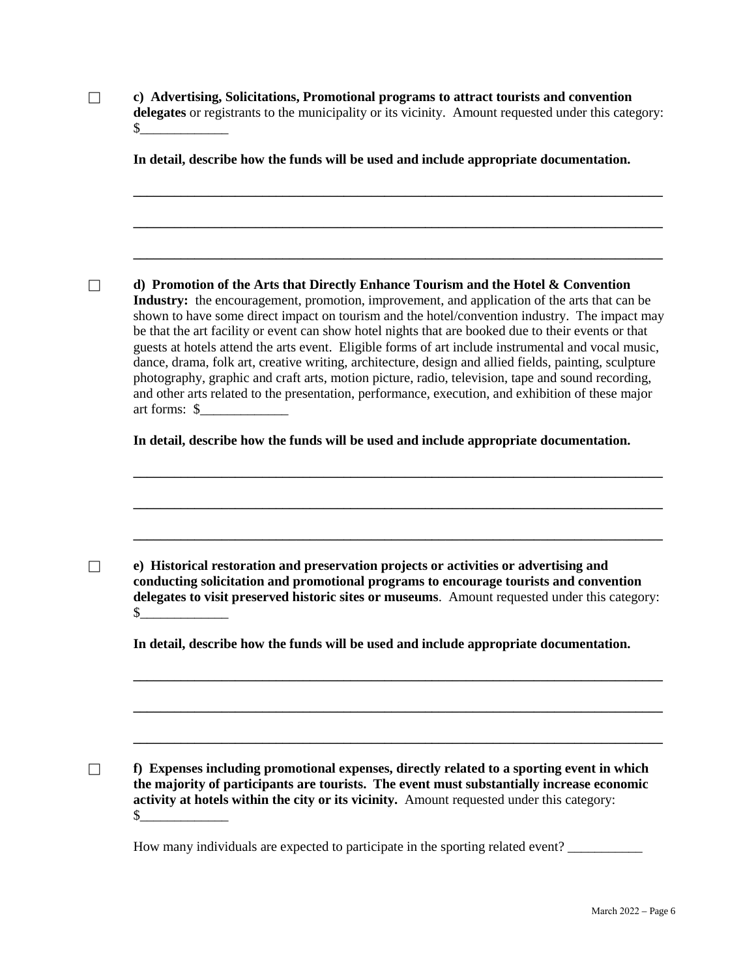| c) Advertising, Solicitations, Promotional programs to attract tourists and convention              |  |  |  |
|-----------------------------------------------------------------------------------------------------|--|--|--|
| delegates or registrants to the municipality or its vicinity. Amount requested under this category: |  |  |  |
|                                                                                                     |  |  |  |

**In detail, describe how the funds will be used and include appropriate documentation.**

**\_\_\_\_\_\_\_\_\_\_\_\_\_\_\_\_\_\_\_\_\_\_\_\_\_\_\_\_\_\_\_\_\_\_\_\_\_\_\_\_\_\_\_\_\_\_\_\_\_\_\_\_\_\_\_\_\_\_\_\_\_\_\_\_\_\_\_\_\_\_\_\_\_\_\_\_\_\_** 

**\_\_\_\_\_\_\_\_\_\_\_\_\_\_\_\_\_\_\_\_\_\_\_\_\_\_\_\_\_\_\_\_\_\_\_\_\_\_\_\_\_\_\_\_\_\_\_\_\_\_\_\_\_\_\_\_\_\_\_\_\_\_\_\_\_\_\_\_\_\_\_\_\_\_\_\_\_\_** 

**\_\_\_\_\_\_\_\_\_\_\_\_\_\_\_\_\_\_\_\_\_\_\_\_\_\_\_\_\_\_\_\_\_\_\_\_\_\_\_\_\_\_\_\_\_\_\_\_\_\_\_\_\_\_\_\_\_\_\_\_\_\_\_\_\_\_\_\_\_\_\_\_\_\_\_\_\_\_** 

 **d) Promotion of the Arts that Directly Enhance Tourism and the Hotel & Convention Industry:** the encouragement, promotion, improvement, and application of the arts that can be shown to have some direct impact on tourism and the hotel/convention industry. The impact may be that the art facility or event can show hotel nights that are booked due to their events or that guests at hotels attend the arts event. Eligible forms of art include instrumental and vocal music, dance, drama, folk art, creative writing, architecture, design and allied fields, painting, sculpture photography, graphic and craft arts, motion picture, radio, television, tape and sound recording, and other arts related to the presentation, performance, execution, and exhibition of these major art forms: \$\_\_\_\_\_\_\_\_\_\_\_\_\_

**In detail, describe how the funds will be used and include appropriate documentation.**

**\_\_\_\_\_\_\_\_\_\_\_\_\_\_\_\_\_\_\_\_\_\_\_\_\_\_\_\_\_\_\_\_\_\_\_\_\_\_\_\_\_\_\_\_\_\_\_\_\_\_\_\_\_\_\_\_\_\_\_\_\_\_\_\_\_\_\_\_\_\_\_\_\_\_\_\_\_\_** 

**\_\_\_\_\_\_\_\_\_\_\_\_\_\_\_\_\_\_\_\_\_\_\_\_\_\_\_\_\_\_\_\_\_\_\_\_\_\_\_\_\_\_\_\_\_\_\_\_\_\_\_\_\_\_\_\_\_\_\_\_\_\_\_\_\_\_\_\_\_\_\_\_\_\_\_\_\_\_** 

**\_\_\_\_\_\_\_\_\_\_\_\_\_\_\_\_\_\_\_\_\_\_\_\_\_\_\_\_\_\_\_\_\_\_\_\_\_\_\_\_\_\_\_\_\_\_\_\_\_\_\_\_\_\_\_\_\_\_\_\_\_\_\_\_\_\_\_\_\_\_\_\_\_\_\_\_\_\_** 

 **e) Historical restoration and preservation projects or activities or advertising and conducting solicitation and promotional programs to encourage tourists and convention delegates to visit preserved historic sites or museums**. Amount requested under this category:  $\frac{\S_{\_}}{\S_{\_}}$ 

**In detail, describe how the funds will be used and include appropriate documentation.**

**\_\_\_\_\_\_\_\_\_\_\_\_\_\_\_\_\_\_\_\_\_\_\_\_\_\_\_\_\_\_\_\_\_\_\_\_\_\_\_\_\_\_\_\_\_\_\_\_\_\_\_\_\_\_\_\_\_\_\_\_\_\_\_\_\_\_\_\_\_\_\_\_\_\_\_\_\_\_** 

**\_\_\_\_\_\_\_\_\_\_\_\_\_\_\_\_\_\_\_\_\_\_\_\_\_\_\_\_\_\_\_\_\_\_\_\_\_\_\_\_\_\_\_\_\_\_\_\_\_\_\_\_\_\_\_\_\_\_\_\_\_\_\_\_\_\_\_\_\_\_\_\_\_\_\_\_\_\_** 

**\_\_\_\_\_\_\_\_\_\_\_\_\_\_\_\_\_\_\_\_\_\_\_\_\_\_\_\_\_\_\_\_\_\_\_\_\_\_\_\_\_\_\_\_\_\_\_\_\_\_\_\_\_\_\_\_\_\_\_\_\_\_\_\_\_\_\_\_\_\_\_\_\_\_\_\_\_\_** 

 **f) Expenses including promotional expenses, directly related to a sporting event in which the majority of participants are tourists. The event must substantially increase economic activity at hotels within the city or its vicinity.** Amount requested under this category:  $\frac{1}{2}$ 

How many individuals are expected to participate in the sporting related event?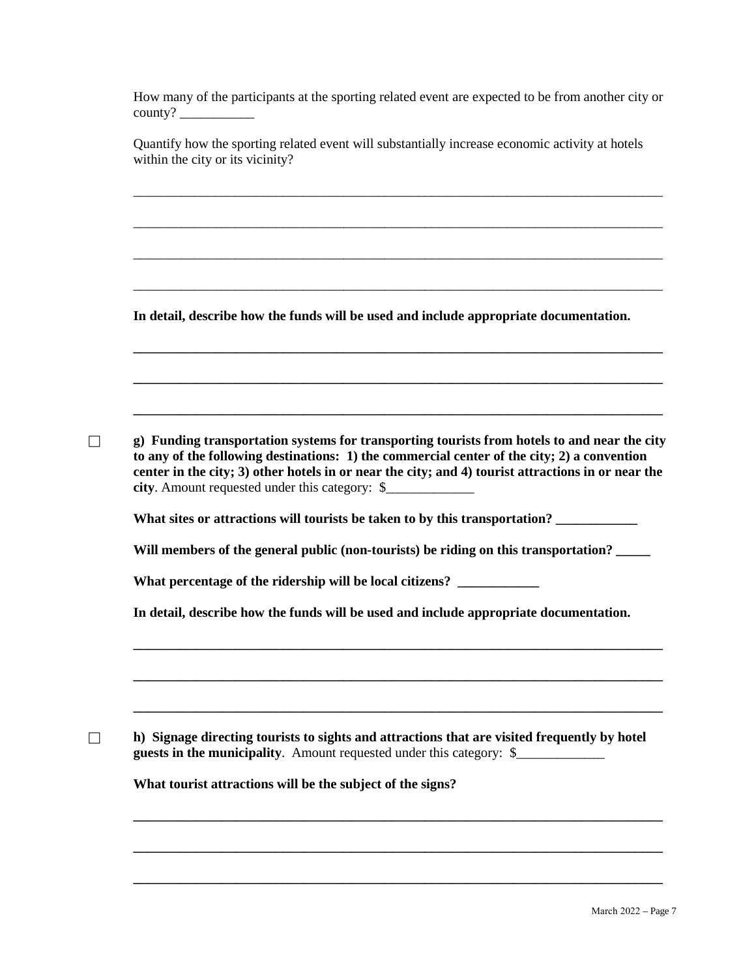How many of the participants at the sporting related event are expected to be from another city or county? \_\_\_\_\_\_\_\_\_\_\_

Quantify how the sporting related event will substantially increase economic activity at hotels within the city or its vicinity?

\_\_\_\_\_\_\_\_\_\_\_\_\_\_\_\_\_\_\_\_\_\_\_\_\_\_\_\_\_\_\_\_\_\_\_\_\_\_\_\_\_\_\_\_\_\_\_\_\_\_\_\_\_\_\_\_\_\_\_\_\_\_\_\_\_\_\_\_\_\_\_\_\_\_\_\_\_\_

\_\_\_\_\_\_\_\_\_\_\_\_\_\_\_\_\_\_\_\_\_\_\_\_\_\_\_\_\_\_\_\_\_\_\_\_\_\_\_\_\_\_\_\_\_\_\_\_\_\_\_\_\_\_\_\_\_\_\_\_\_\_\_\_\_\_\_\_\_\_\_\_\_\_\_\_\_\_

\_\_\_\_\_\_\_\_\_\_\_\_\_\_\_\_\_\_\_\_\_\_\_\_\_\_\_\_\_\_\_\_\_\_\_\_\_\_\_\_\_\_\_\_\_\_\_\_\_\_\_\_\_\_\_\_\_\_\_\_\_\_\_\_\_\_\_\_\_\_\_\_\_\_\_\_\_\_

\_\_\_\_\_\_\_\_\_\_\_\_\_\_\_\_\_\_\_\_\_\_\_\_\_\_\_\_\_\_\_\_\_\_\_\_\_\_\_\_\_\_\_\_\_\_\_\_\_\_\_\_\_\_\_\_\_\_\_\_\_\_\_\_\_\_\_\_\_\_\_\_\_\_\_\_\_\_

**\_\_\_\_\_\_\_\_\_\_\_\_\_\_\_\_\_\_\_\_\_\_\_\_\_\_\_\_\_\_\_\_\_\_\_\_\_\_\_\_\_\_\_\_\_\_\_\_\_\_\_\_\_\_\_\_\_\_\_\_\_\_\_\_\_\_\_\_\_\_\_\_\_\_\_\_\_\_** 

**\_\_\_\_\_\_\_\_\_\_\_\_\_\_\_\_\_\_\_\_\_\_\_\_\_\_\_\_\_\_\_\_\_\_\_\_\_\_\_\_\_\_\_\_\_\_\_\_\_\_\_\_\_\_\_\_\_\_\_\_\_\_\_\_\_\_\_\_\_\_\_\_\_\_\_\_\_\_** 

**\_\_\_\_\_\_\_\_\_\_\_\_\_\_\_\_\_\_\_\_\_\_\_\_\_\_\_\_\_\_\_\_\_\_\_\_\_\_\_\_\_\_\_\_\_\_\_\_\_\_\_\_\_\_\_\_\_\_\_\_\_\_\_\_\_\_\_\_\_\_\_\_\_\_\_\_\_\_** 

**In detail, describe how the funds will be used and include appropriate documentation.**

 **g) Funding transportation systems for transporting tourists from hotels to and near the city to any of the following destinations: 1) the commercial center of the city; 2) a convention center in the city; 3) other hotels in or near the city; and 4) tourist attractions in or near the city**. Amount requested under this category: \$\_\_\_\_\_\_\_\_\_\_\_\_\_

What sites or attractions will tourists be taken to by this transportation?

Will members of the general public (non-tourists) be riding on this transportation? \_\_\_\_

**What percentage of the ridership will be local citizens? \_\_\_\_\_\_\_\_\_\_\_\_**

**In detail, describe how the funds will be used and include appropriate documentation.**

**\_\_\_\_\_\_\_\_\_\_\_\_\_\_\_\_\_\_\_\_\_\_\_\_\_\_\_\_\_\_\_\_\_\_\_\_\_\_\_\_\_\_\_\_\_\_\_\_\_\_\_\_\_\_\_\_\_\_\_\_\_\_\_\_\_\_\_\_\_\_\_\_\_\_\_\_\_\_** 

**\_\_\_\_\_\_\_\_\_\_\_\_\_\_\_\_\_\_\_\_\_\_\_\_\_\_\_\_\_\_\_\_\_\_\_\_\_\_\_\_\_\_\_\_\_\_\_\_\_\_\_\_\_\_\_\_\_\_\_\_\_\_\_\_\_\_\_\_\_\_\_\_\_\_\_\_\_\_** 

**\_\_\_\_\_\_\_\_\_\_\_\_\_\_\_\_\_\_\_\_\_\_\_\_\_\_\_\_\_\_\_\_\_\_\_\_\_\_\_\_\_\_\_\_\_\_\_\_\_\_\_\_\_\_\_\_\_\_\_\_\_\_\_\_\_\_\_\_\_\_\_\_\_\_\_\_\_\_** 

**\_\_\_\_\_\_\_\_\_\_\_\_\_\_\_\_\_\_\_\_\_\_\_\_\_\_\_\_\_\_\_\_\_\_\_\_\_\_\_\_\_\_\_\_\_\_\_\_\_\_\_\_\_\_\_\_\_\_\_\_\_\_\_\_\_\_\_\_\_\_\_\_\_\_\_\_\_\_**

**\_\_\_\_\_\_\_\_\_\_\_\_\_\_\_\_\_\_\_\_\_\_\_\_\_\_\_\_\_\_\_\_\_\_\_\_\_\_\_\_\_\_\_\_\_\_\_\_\_\_\_\_\_\_\_\_\_\_\_\_\_\_\_\_\_\_\_\_\_\_\_\_\_\_\_\_\_\_**

**\_\_\_\_\_\_\_\_\_\_\_\_\_\_\_\_\_\_\_\_\_\_\_\_\_\_\_\_\_\_\_\_\_\_\_\_\_\_\_\_\_\_\_\_\_\_\_\_\_\_\_\_\_\_\_\_\_\_\_\_\_\_\_\_\_\_\_\_\_\_\_\_\_\_\_\_\_\_** 

**h)** Signage directing tourists to sights and attractions that are visited frequently by hotel **guests in the municipality**. Amount requested under this category: \$\_\_\_\_\_\_\_\_\_\_\_\_\_

**What tourist attractions will be the subject of the signs?**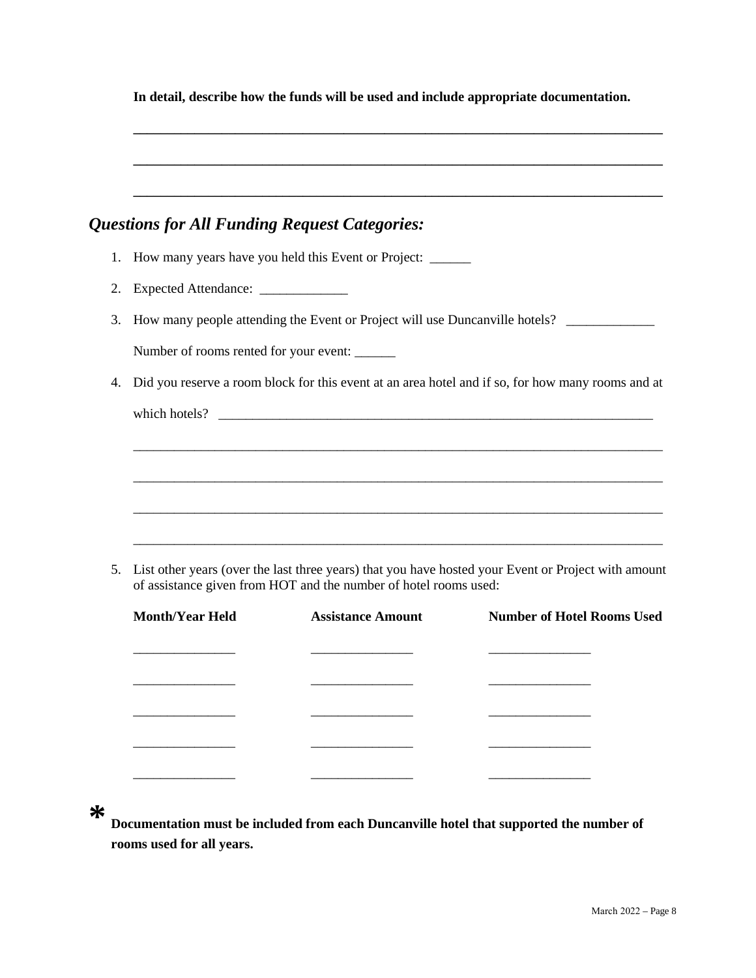|    | In detail, describe how the funds will be used and include appropriate documentation.                                                                                   |
|----|-------------------------------------------------------------------------------------------------------------------------------------------------------------------------|
|    | <u> 1989 - Johann Barn, mars an t-Amerikaansk politiker (* 1908)</u><br><b>Questions for All Funding Request Categories:</b>                                            |
|    | 1. How many years have you held this Event or Project: ______                                                                                                           |
| 2. | Expected Attendance: ____________                                                                                                                                       |
| 3. | How many people attending the Event or Project will use Duncanville hotels?                                                                                             |
|    | Number of rooms rented for your event:                                                                                                                                  |
| 4. | Did you reserve a room block for this event at an area hotel and if so, for how many rooms and at                                                                       |
|    | <u> 1989 - Johann Stoff, deutscher Stoff, der Stoff, der Stoff, der Stoff, der Stoff, der Stoff, der Stoff, der S</u>                                                   |
|    |                                                                                                                                                                         |
| 5. | List other years (over the last three years) that you have hosted your Event or Project with amount<br>of assistance given from HOT and the number of hotel rooms used: |

| <b>Month/Year Held</b> | <b>Assistance Amount</b> | <b>Number of Hotel Rooms Used</b> |  |
|------------------------|--------------------------|-----------------------------------|--|
|                        |                          |                                   |  |
|                        |                          |                                   |  |
|                        |                          |                                   |  |
|                        |                          |                                   |  |
|                        |                          |                                   |  |

**\* Documentation must be included from each Duncanville hotel that supported the number of rooms used for all years.**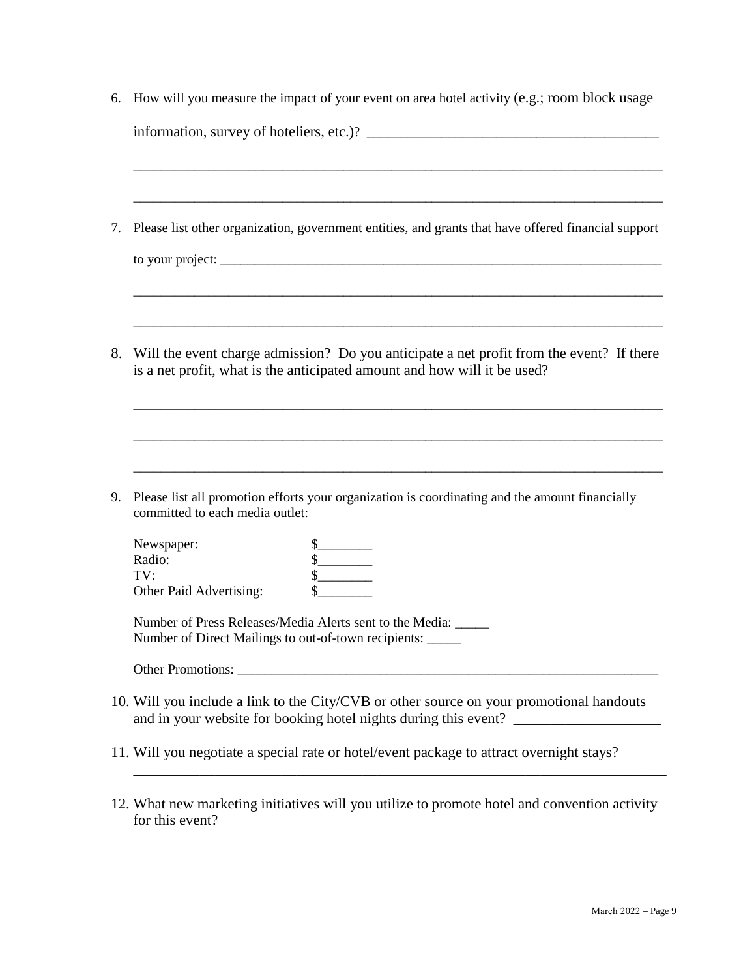|    | 6. How will you measure the impact of your event on area hotel activity (e.g.; room block usage                                                                                                                                                                                                                                                                                                                                                                                                                                                                                                                                                                                                                                                             |
|----|-------------------------------------------------------------------------------------------------------------------------------------------------------------------------------------------------------------------------------------------------------------------------------------------------------------------------------------------------------------------------------------------------------------------------------------------------------------------------------------------------------------------------------------------------------------------------------------------------------------------------------------------------------------------------------------------------------------------------------------------------------------|
|    |                                                                                                                                                                                                                                                                                                                                                                                                                                                                                                                                                                                                                                                                                                                                                             |
|    |                                                                                                                                                                                                                                                                                                                                                                                                                                                                                                                                                                                                                                                                                                                                                             |
| 7. | Please list other organization, government entities, and grants that have offered financial support                                                                                                                                                                                                                                                                                                                                                                                                                                                                                                                                                                                                                                                         |
|    |                                                                                                                                                                                                                                                                                                                                                                                                                                                                                                                                                                                                                                                                                                                                                             |
| 8. | Will the event charge admission? Do you anticipate a net profit from the event? If there                                                                                                                                                                                                                                                                                                                                                                                                                                                                                                                                                                                                                                                                    |
|    | is a net profit, what is the anticipated amount and how will it be used?                                                                                                                                                                                                                                                                                                                                                                                                                                                                                                                                                                                                                                                                                    |
|    |                                                                                                                                                                                                                                                                                                                                                                                                                                                                                                                                                                                                                                                                                                                                                             |
| 9. | Please list all promotion efforts your organization is coordinating and the amount financially<br>committed to each media outlet:                                                                                                                                                                                                                                                                                                                                                                                                                                                                                                                                                                                                                           |
|    | Newspaper:<br>$\frac{\S_{\frac{1}{2}}}{\S_{\frac{1}{2}}}{\S_{\frac{1}{2}}}{\S_{\frac{1}{2}}}{\S_{\frac{1}{2}}}{\S_{\frac{1}{2}}}{\S_{\frac{1}{2}}}{\S_{\frac{1}{2}}}{\S_{\frac{1}{2}}}{\S_{\frac{1}{2}}}{\S_{\frac{1}{2}}}{\S_{\frac{1}{2}}}{\S_{\frac{1}{2}}}{\S_{\frac{1}{2}}}{\S_{\frac{1}{2}}}{\S_{\frac{1}{2}}}{\S_{\frac{1}{2}}}{\S_{\frac{1}{2}}}{\S_{\frac{1}{2}}}{\S_{\frac{1}{2$<br>$\begin{picture}(25,20) \put(0,0){\line(1,0){10}} \put(15,0){\line(1,0){10}} \put(15,0){\line(1,0){10}} \put(15,0){\line(1,0){10}} \put(15,0){\line(1,0){10}} \put(15,0){\line(1,0){10}} \put(15,0){\line(1,0){10}} \put(15,0){\line(1,0){10}} \put(15,0){\line(1,0){10}} \put(15,0){\line(1,0){10}} \put(15,0){\line(1,0){10}} \put(15,0){\line(1$<br>Radio: |
|    | TV:<br>Other Paid Advertising:                                                                                                                                                                                                                                                                                                                                                                                                                                                                                                                                                                                                                                                                                                                              |
|    | Number of Press Releases/Media Alerts sent to the Media: _____<br>Number of Direct Mailings to out-of-town recipients: _____                                                                                                                                                                                                                                                                                                                                                                                                                                                                                                                                                                                                                                |
|    |                                                                                                                                                                                                                                                                                                                                                                                                                                                                                                                                                                                                                                                                                                                                                             |
|    | 10. Will you include a link to the City/CVB or other source on your promotional handouts                                                                                                                                                                                                                                                                                                                                                                                                                                                                                                                                                                                                                                                                    |
|    | 11. Will you negotiate a special rate or hotel/event package to attract overnight stays?                                                                                                                                                                                                                                                                                                                                                                                                                                                                                                                                                                                                                                                                    |
|    |                                                                                                                                                                                                                                                                                                                                                                                                                                                                                                                                                                                                                                                                                                                                                             |

12. What new marketing initiatives will you utilize to promote hotel and convention activity for this event?